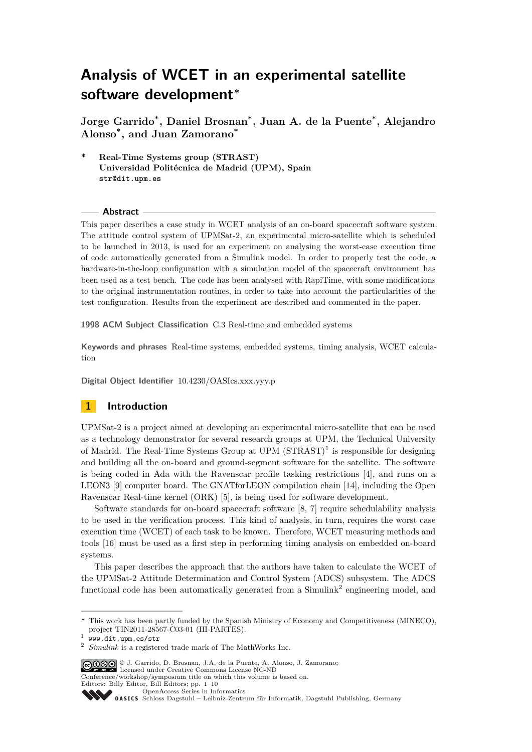# **Analysis of WCET in an experimental satellite software development***<sup>∗</sup>*

**Jorge Garrido\* , Daniel Brosnan\* , Juan A. de la Puente\* , Alejandro Alonso\* , and Juan Zamorano\***

**\* Real-Time Systems group (STRAST) Universidad Politécnica de Madrid (UPM), Spain** str@dit.upm.es

#### **Abstract**

This paper describes a case study in WCET analysis of an on-board spacecraft software system. The attitude control system of UPMSat-2, an experimental micro-satellite which is scheduled to be launched in 2013, is used for an experiment on analysing the worst-case execution time of code automatically generated from a Simulink model. In order to properly test the code, a hardware-in-the-loop configuration with a simulation model of the spacecraft environment has been used as a test bench. The code has been analysed with RapiTime, with some modifications to the original instrumentation routines, in order to take into account the particularities of the test configuration. Results from the experiment are described and commented in the paper.

**1998 ACM Subject Classification** C.3 Real-time and embedded systems

**Keywords and phrases** Real-time systems, embedded systems, timing analysis, WCET calculation

**Digital Object Identifier** 10.4230/OASIcs.xxx.yyy.p

## **1 Introduction**

UPMSat-2 is a project aimed at developing an experimental micro-satellite that can be used as a technology demonstrator for several research groups at UPM, the Technical University of Madrid. The Real-Time Systems Group at UPM  $(STRAST)^1$  is responsible for designing and building all the on-board and ground-segment software for the satellite. The software is being coded in Ada with the Ravenscar profile tasking restrictions [\[4\]](#page-9-0), and runs on a LEON3 [\[9\]](#page-9-1) computer board. The GNATforLEON compilation chain [\[14\]](#page-9-2), including the Open Ravenscar Real-time kernel (ORK) [\[5\]](#page-9-3), is being used for software development.

Software standards for on-board spacecraft software [\[8,](#page-9-4) [7\]](#page-9-5) require schedulability analysis to be used in the verification process. This kind of analysis, in turn, requires the worst case execution time (WCET) of each task to be known. Therefore, WCET measuring methods and tools [\[16\]](#page-9-6) must be used as a first step in performing timing analysis on embedded on-board systems.

This paper describes the approach that the authors have taken to calculate the WCET of the UPMSat-2 Attitude Determination and Control System (ADCS) subsystem. The ADCS functional code has been automatically generated from a Simulink<sup>2</sup> engineering model, and

© J. Garrido, D. Brosnan, J.A. de la Puente, A. Alonso, J. Zamorano; licensed under Creative Commons License NC-ND

Conference/workshop/symposium title on which this volume is based on.

Editors: Billy Editor, Bill Editors; pp. 1[–10](#page-9-7)

*<sup>∗</sup>* This work has been partly funded by the Spanish Ministry of Economy and Competitiveness (MINECO), project TIN2011-28567-C03-01 (HI-PARTES).

<sup>1</sup> <www.dit.upm.es/str>

<sup>2</sup> *Simulink* is a registered trade mark of The MathWorks Inc.

[OpenAccess Series in Informatics](http://www.dagstuhl.de/oasics/)

[Schloss Dagstuhl – Leibniz-Zentrum für Informatik, Dagstuhl Publishing, Germany](http://www.dagstuhl.de/)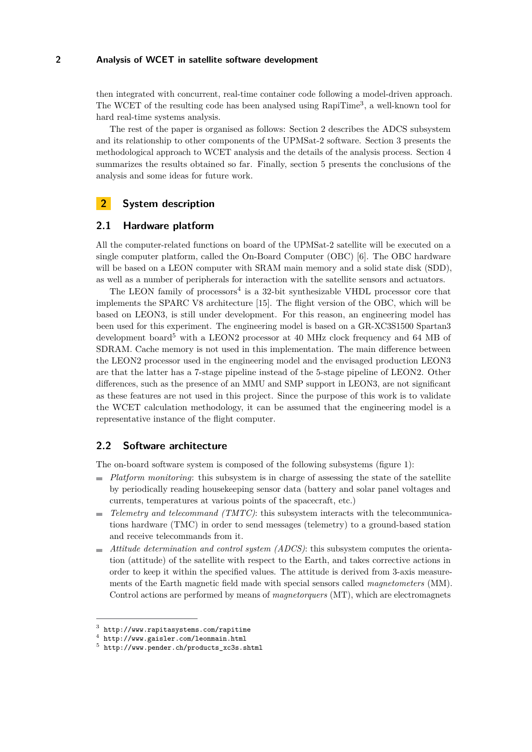then integrated with concurrent, real-time container code following a model-driven approach. The WCET of the resulting code has been analysed using RapiTime<sup>3</sup>, a well-known tool for hard real-time systems analysis.

The rest of the paper is organised as follows: Section [2](#page-1-0) describes the ADCS subsystem and its relationship to other components of the UPMSat-2 software. Section [3](#page-4-0) presents the methodological approach to WCET analysis and the details of the analysis process. Section [4](#page-6-0) summarizes the results obtained so far. Finally, section [5](#page-8-0) presents the conclusions of the analysis and some ideas for future work.

# <span id="page-1-0"></span>**2 System description**

## <span id="page-1-1"></span>**2.1 Hardware platform**

All the computer-related functions on board of the UPMSat-2 satellite will be executed on a single computer platform, called the On-Board Computer (OBC) [\[6\]](#page-9-8). The OBC hardware will be based on a LEON computer with SRAM main memory and a solid state disk (SDD), as well as a number of peripherals for interaction with the satellite sensors and actuators.

The LEON family of processors<sup>4</sup> is a 32-bit synthesizable VHDL processor core that implements the SPARC V8 architecture [\[15\]](#page-9-9). The flight version of the OBC, which will be based on LEON3, is still under development. For this reason, an engineering model has been used for this experiment. The engineering model is based on a GR-XC3S1500 Spartan3 development board<sup>5</sup> with a LEON2 processor at 40 MHz clock frequency and 64 MB of SDRAM. Cache memory is not used in this implementation. The main difference between the LEON2 processor used in the engineering model and the envisaged production LEON3 are that the latter has a 7-stage pipeline instead of the 5-stage pipeline of LEON2. Other differences, such as the presence of an MMU and SMP support in LEON3, are not significant as these features are not used in this project. Since the purpose of this work is to validate the WCET calculation methodology, it can be assumed that the engineering model is a representative instance of the flight computer.

## **2.2 Software architecture**

The on-board software system is composed of the following subsystems (figure [1\)](#page-2-0):

- *Platform monitoring*: this subsystem is in charge of assessing the state of the satellite by periodically reading housekeeping sensor data (battery and solar panel voltages and currents, temperatures at various points of the spacecraft, etc.)
- *Telemetry and telecommand (TMTC)*: this subsystem interacts with the telecommunica- $\mathbf{r}$ tions hardware (TMC) in order to send messages (telemetry) to a ground-based station and receive telecommands from it.
- *Attitude determination and control system (ADCS)*: this subsystem computes the orienta- $\blacksquare$ tion (attitude) of the satellite with respect to the Earth, and takes corrective actions in order to keep it within the specified values. The attitude is derived from 3-axis measurements of the Earth magnetic field made with special sensors called *magnetometers* (MM). Control actions are performed by means of *magnetorquers* (MT), which are electromagnets

 $^3$  <http://www.rapitasystems.com/rapitime>

<sup>4</sup> <http://www.gaisler.com/leonmain.html>

<sup>5</sup> [http://www.pender.ch/products\\_xc3s.shtml](http://www.pender.ch/products_xc3s.shtml)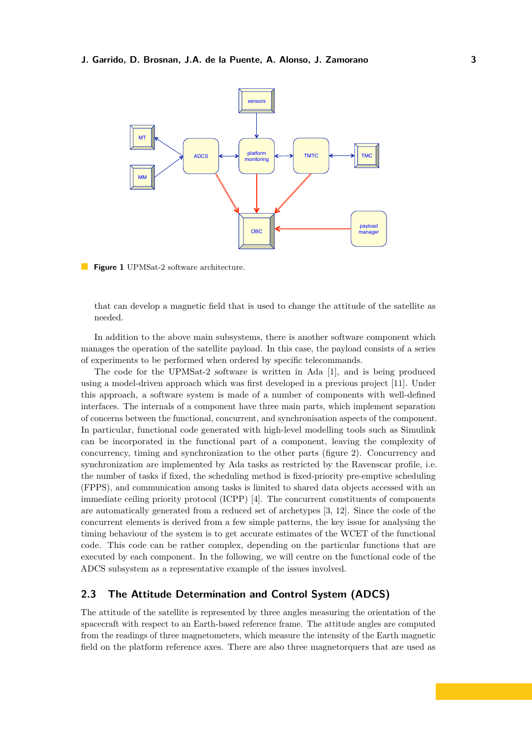

<span id="page-2-0"></span>**Figure 1** UPMSat-2 software architecture.

that can develop a magnetic field that is used to change the attitude of the satellite as needed.

In addition to the above main subsystems, there is another software component which manages the operation of the satellite payload. In this case, the payload consists of a series of experiments to be performed when ordered by specific telecommands.

The code for the UPMSat-2 software is written in Ada [\[1\]](#page-8-1), and is being produced using a model-driven approach which was first developed in a previous project [\[11\]](#page-9-10). Under this approach, a software system is made of a number of components with well-defined interfaces. The internals of a component have three main parts, which implement separation of concerns between the functional, concurrent, and synchronisation aspects of the component. In particular, functional code generated with high-level modelling tools such as Simulink can be incorporated in the functional part of a component, leaving the complexity of concurrency, timing and synchronization to the other parts (figure [2\)](#page-3-0). Concurrency and synchronization are implemented by Ada tasks as restricted by the Ravenscar profile, i.e. the number of tasks if fixed, the scheduling method is fixed-priority pre-emptive scheduling (FPPS), and communication among tasks is limited to shared data objects accessed with an immediate ceiling priority protocol (ICPP) [\[4\]](#page-9-0). The concurrent constituents of components are automatically generated from a reduced set of archetypes [\[3,](#page-9-11) [12\]](#page-9-12). Since the code of the concurrent elements is derived from a few simple patterns, the key issue for analysing the timing behaviour of the system is to get accurate estimates of the WCET of the functional code. This code can be rather complex, depending on the particular functions that are executed by each component. In the following, we will centre on the functional code of the ADCS subsystem as a representative example of the issues involved.

# **2.3 The Attitude Determination and Control System (ADCS)**

The attitude of the satellite is represented by three angles measuring the orientation of the spacecraft with respect to an Earth-based reference frame. The attitude angles are computed from the readings of three magnetometers, which measure the intensity of the Earth magnetic field on the platform reference axes. There are also three magnetorquers that are used as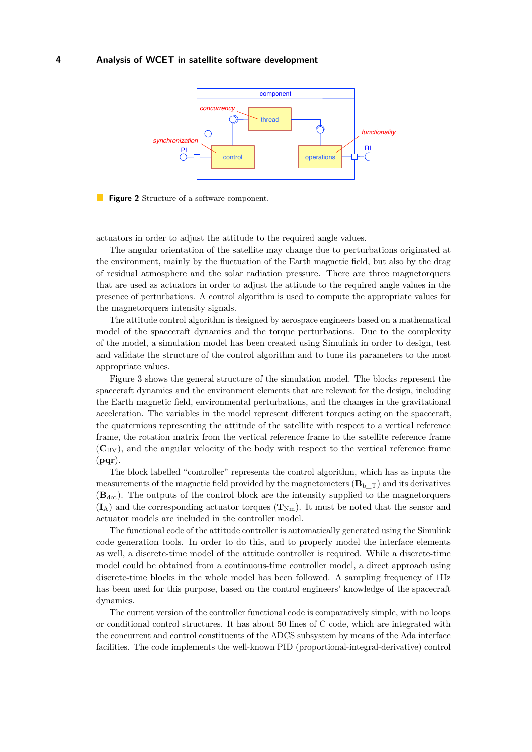

<span id="page-3-0"></span>

actuators in order to adjust the attitude to the required angle values.

The angular orientation of the satellite may change due to perturbations originated at the environment, mainly by the fluctuation of the Earth magnetic field, but also by the drag of residual atmosphere and the solar radiation pressure. There are three magnetorquers that are used as actuators in order to adjust the attitude to the required angle values in the presence of perturbations. A control algorithm is used to compute the appropriate values for the magnetorquers intensity signals.

The attitude control algorithm is designed by aerospace engineers based on a mathematical model of the spacecraft dynamics and the torque perturbations. Due to the complexity of the model, a simulation model has been created using Simulink in order to design, test and validate the structure of the control algorithm and to tune its parameters to the most appropriate values.

Figure [3](#page-4-1) shows the general structure of the simulation model. The blocks represent the spacecraft dynamics and the environment elements that are relevant for the design, including the Earth magnetic field, environmental perturbations, and the changes in the gravitational acceleration. The variables in the model represent different torques acting on the spacecraft, the quaternions representing the attitude of the satellite with respect to a vertical reference frame, the rotation matrix from the vertical reference frame to the satellite reference frame  $(\mathbf{C}_{\text{BV}})$ , and the angular velocity of the body with respect to the vertical reference frame (**pqr**).

The block labelled "controller" represents the control algorithm, which has as inputs the measurements of the magnetic field provided by the magnetometers  $(\mathbf{B}_{\mathrm{b}}_T)$  and its derivatives  $(\mathbf{B}_{dot})$ . The outputs of the control block are the intensity supplied to the magnetorquers  $(I_A)$  and the corresponding actuator torques  $(T_{Nm})$ . It must be noted that the sensor and actuator models are included in the controller model.

The functional code of the attitude controller is automatically generated using the Simulink code generation tools. In order to do this, and to properly model the interface elements as well, a discrete-time model of the attitude controller is required. While a discrete-time model could be obtained from a continuous-time controller model, a direct approach using discrete-time blocks in the whole model has been followed. A sampling frequency of 1Hz has been used for this purpose, based on the control engineers' knowledge of the spacecraft dynamics.

The current version of the controller functional code is comparatively simple, with no loops or conditional control structures. It has about 50 lines of C code, which are integrated with the concurrent and control constituents of the ADCS subsystem by means of the Ada interface facilities. The code implements the well-known PID (proportional-integral-derivative) control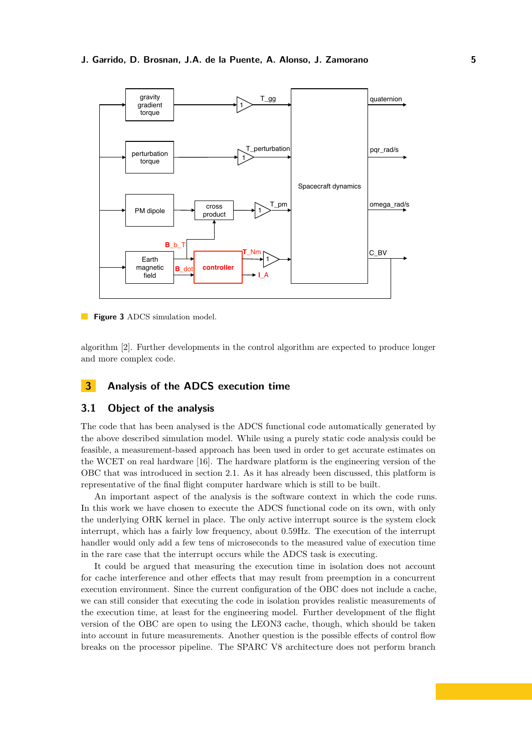

<span id="page-4-1"></span>**Figure 3** ADCS simulation model.

algorithm [\[2\]](#page-8-2). Further developments in the control algorithm are expected to produce longer and more complex code.

# <span id="page-4-0"></span>**3 Analysis of the ADCS execution time**

## **3.1 Object of the analysis**

The code that has been analysed is the ADCS functional code automatically generated by the above described simulation model. While using a purely static code analysis could be feasible, a measurement-based approach has been used in order to get accurate estimates on the WCET on real hardware [\[16\]](#page-9-6). The hardware platform is the engineering version of the OBC that was introduced in section [2.1.](#page-1-1) As it has already been discussed, this platform is representative of the final flight computer hardware which is still to be built.

An important aspect of the analysis is the software context in which the code runs. In this work we have chosen to execute the ADCS functional code on its own, with only the underlying ORK kernel in place. The only active interrupt source is the system clock interrupt, which has a fairly low frequency, about 0*.*59Hz. The execution of the interrupt handler would only add a few tens of microseconds to the measured value of execution time in the rare case that the interrupt occurs while the ADCS task is executing.

It could be argued that measuring the execution time in isolation does not account for cache interference and other effects that may result from preemption in a concurrent execution environment. Since the current configuration of the OBC does not include a cache, we can still consider that executing the code in isolation provides realistic measurements of the execution time, at least for the engineering model. Further development of the flight version of the OBC are open to using the LEON3 cache, though, which should be taken into account in future measurements. Another question is the possible effects of control flow breaks on the processor pipeline. The SPARC V8 architecture does not perform branch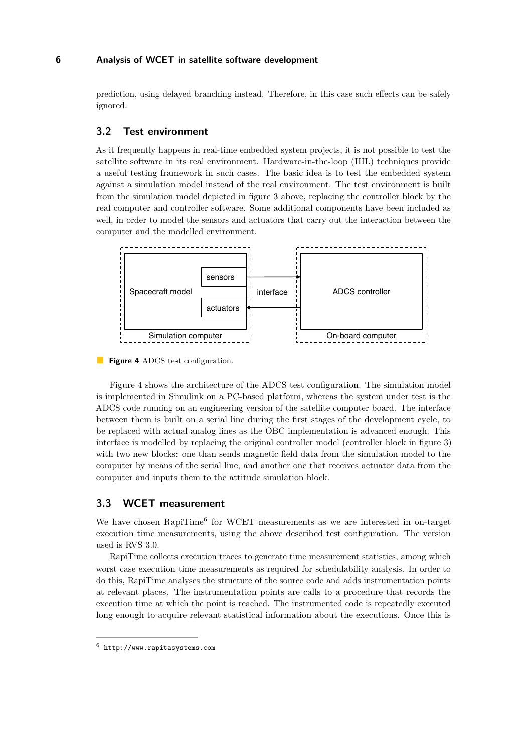prediction, using delayed branching instead. Therefore, in this case such effects can be safely ignored.

## **3.2 Test environment**

As it frequently happens in real-time embedded system projects, it is not possible to test the satellite software in its real environment. Hardware-in-the-loop (HIL) techniques provide a useful testing framework in such cases. The basic idea is to test the embedded system against a simulation model instead of the real environment. The test environment is built from the simulation model depicted in figure [3](#page-4-1) above, replacing the controller block by the real computer and controller software. Some additional components have been included as well, in order to model the sensors and actuators that carry out the interaction between the computer and the modelled environment.



<span id="page-5-0"></span>**Figure 4** ADCS test configuration.

Figure [4](#page-5-0) shows the architecture of the ADCS test configuration. The simulation model is implemented in Simulink on a PC-based platform, whereas the system under test is the ADCS code running on an engineering version of the satellite computer board. The interface between them is built on a serial line during the first stages of the development cycle, to be replaced with actual analog lines as the OBC implementation is advanced enough. This interface is modelled by replacing the original controller model (controller block in figure [3\)](#page-4-1) with two new blocks: one than sends magnetic field data from the simulation model to the computer by means of the serial line, and another one that receives actuator data from the computer and inputs them to the attitude simulation block.

## **3.3 WCET measurement**

We have chosen RapiTime<sup>6</sup> for WCET measurements as we are interested in on-target execution time measurements, using the above described test configuration. The version used is RVS 3.0.

RapiTime collects execution traces to generate time measurement statistics, among which worst case execution time measurements as required for schedulability analysis. In order to do this, RapiTime analyses the structure of the source code and adds instrumentation points at relevant places. The instrumentation points are calls to a procedure that records the execution time at which the point is reached. The instrumented code is repeatedly executed long enough to acquire relevant statistical information about the executions. Once this is

 $^6$  <http://www.rapitasystems.com>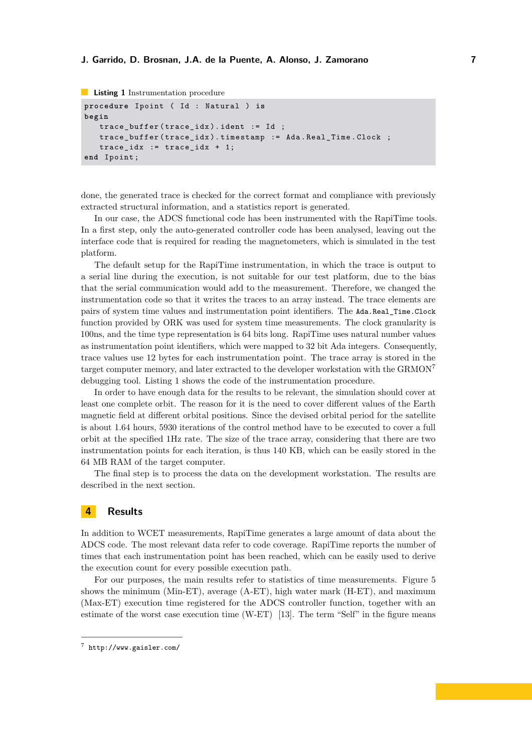#### **J. Garrido, D. Brosnan, J.A. de la Puente, A. Alonso, J. Zamorano 7**

```
Listing 1 Instrumentation procedure
procedure Ipoint ( Id : Natural ) is
begin
    trace_buffer ( trace_idx ). ident := Id ;
    trace_buffer ( trace_idx ). timestamp := Ada . Real_Time . Clock ;
    trace_idx := trace_idx + 1;end Ipoint ;
```
done, the generated trace is checked for the correct format and compliance with previously extracted structural information, and a statistics report is generated.

In our case, the ADCS functional code has been instrumented with the RapiTime tools. In a first step, only the auto-generated controller code has been analysed, leaving out the interface code that is required for reading the magnetometers, which is simulated in the test platform.

The default setup for the RapiTime instrumentation, in which the trace is output to a serial line during the execution, is not suitable for our test platform, due to the bias that the serial communication would add to the measurement. Therefore, we changed the instrumentation code so that it writes the traces to an array instead. The trace elements are pairs of system time values and instrumentation point identifiers. The Ada.Real\_Time.Clock function provided by ORK was used for system time measurements. The clock granularity is 100ns, and the time type representation is 64 bits long. RapiTime uses natural number values as instrumentation point identifiers, which were mapped to 32 bit Ada integers. Consequently, trace values use 12 bytes for each instrumentation point. The trace array is stored in the target computer memory, and later extracted to the developer workstation with the GRMON<sup>7</sup> debugging tool. Listing [1](#page-6-1) shows the code of the instrumentation procedure.

In order to have enough data for the results to be relevant, the simulation should cover at least one complete orbit. The reason for it is the need to cover different values of the Earth magnetic field at different orbital positions. Since the devised orbital period for the satellite is about 1.64 hours, 5930 iterations of the control method have to be executed to cover a full orbit at the specified 1Hz rate. The size of the trace array, considering that there are two instrumentation points for each iteration, is thus 140 KB, which can be easily stored in the 64 MB RAM of the target computer.

The final step is to process the data on the development workstation. The results are described in the next section.

# <span id="page-6-0"></span>**4 Results**

In addition to WCET measurements, RapiTime generates a large amount of data about the ADCS code. The most relevant data refer to code coverage. RapiTime reports the number of times that each instrumentation point has been reached, which can be easily used to derive the execution count for every possible execution path.

For our purposes, the main results refer to statistics of time measurements. Figure [5](#page-7-0) shows the minimum (Min-ET), average (A-ET), high water mark (H-ET), and maximum (Max-ET) execution time registered for the ADCS controller function, together with an estimate of the worst case execution time (W-ET) [\[13\]](#page-9-13). The term "Self" in the figure means

<sup>7</sup> <http://www.gaisler.com/>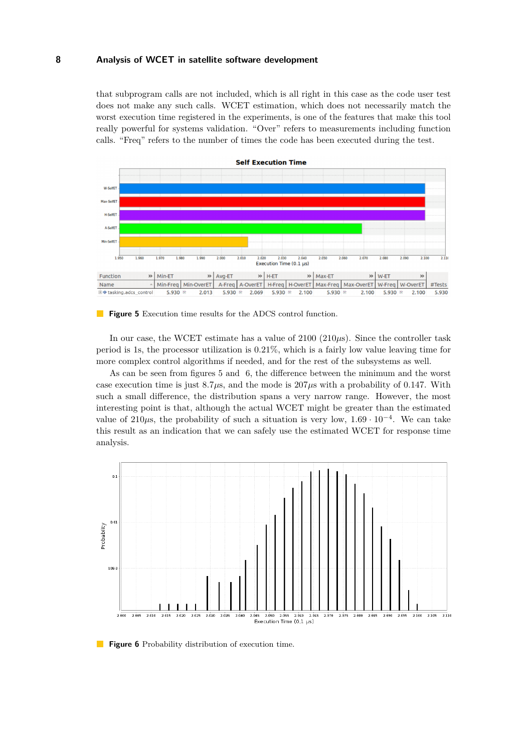that subprogram calls are not included, which is all right in this case as the code user test does not make any such calls. WCET estimation, which does not necessarily match the worst execution time registered in the experiments, is one of the features that make this tool really powerful for systems validation. "Over" refers to measurements including function calls. "Freq" refers to the number of times the code has been executed during the test.



#### <span id="page-7-0"></span>**Figure 5** Execution time results for the ADCS control function.

In our case, the WCET estimate has a value of 2100 (210*µ*s). Since the controller task period is 1s, the processor utilization is 0*.*21%, which is a fairly low value leaving time for more complex control algorithms if needed, and for the rest of the subsystems as well.

As can be seen from figures [5](#page-7-0) and [6,](#page-7-1) the difference between the minimum and the worst case execution time is just  $8.7\mu s$ , and the mode is  $207\mu s$  with a probability of 0.147. With such a small difference, the distribution spans a very narrow range. However, the most interesting point is that, although the actual WCET might be greater than the estimated value of 210*µ*s, the probability of such a situation is very low, 1*.*69 *·* 10*<sup>−</sup>*<sup>4</sup> . We can take this result as an indication that we can safely use the estimated WCET for response time analysis.



<span id="page-7-1"></span>**Figure 6** Probability distribution of execution time.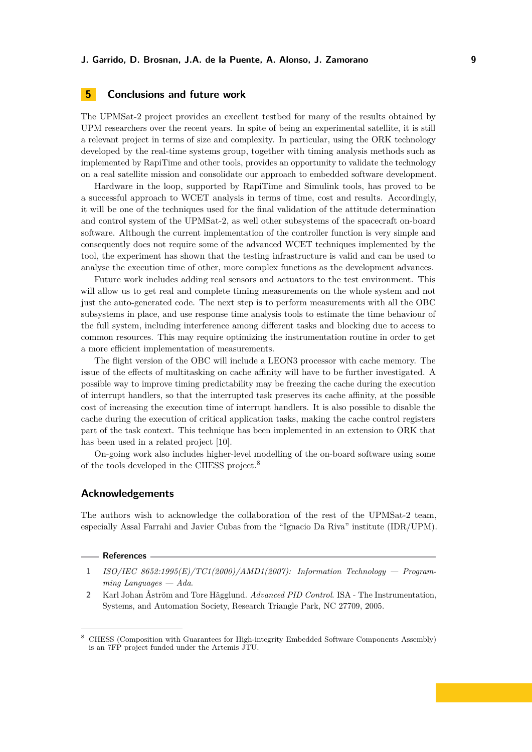# <span id="page-8-0"></span>**5 Conclusions and future work**

The UPMSat-2 project provides an excellent testbed for many of the results obtained by UPM researchers over the recent years. In spite of being an experimental satellite, it is still a relevant project in terms of size and complexity. In particular, using the ORK technology developed by the real-time systems group, together with timing analysis methods such as implemented by RapiTime and other tools, provides an opportunity to validate the technology on a real satellite mission and consolidate our approach to embedded software development.

Hardware in the loop, supported by RapiTime and Simulink tools, has proved to be a successful approach to WCET analysis in terms of time, cost and results. Accordingly, it will be one of the techniques used for the final validation of the attitude determination and control system of the UPMSat-2, as well other subsystems of the spacecraft on-board software. Although the current implementation of the controller function is very simple and consequently does not require some of the advanced WCET techniques implemented by the tool, the experiment has shown that the testing infrastructure is valid and can be used to analyse the execution time of other, more complex functions as the development advances.

Future work includes adding real sensors and actuators to the test environment. This will allow us to get real and complete timing measurements on the whole system and not just the auto-generated code. The next step is to perform measurements with all the OBC subsystems in place, and use response time analysis tools to estimate the time behaviour of the full system, including interference among different tasks and blocking due to access to common resources. This may require optimizing the instrumentation routine in order to get a more efficient implementation of measurements.

The flight version of the OBC will include a LEON3 processor with cache memory. The issue of the effects of multitasking on cache affinity will have to be further investigated. A possible way to improve timing predictability may be freezing the cache during the execution of interrupt handlers, so that the interrupted task preserves its cache affinity, at the possible cost of increasing the execution time of interrupt handlers. It is also possible to disable the cache during the execution of critical application tasks, making the cache control registers part of the task context. This technique has been implemented in an extension to ORK that has been used in a related project [\[10\]](#page-9-14).

On-going work also includes higher-level modelling of the on-board software using some of the tools developed in the CHESS project.<sup>8</sup>

### **Acknowledgements**

The authors wish to acknowledge the collaboration of the rest of the UPMSat-2 team, especially Assal Farrahi and Javier Cubas from the "Ignacio Da Riva" institute (IDR/UPM).

#### **References**

- <span id="page-8-1"></span>**1** *ISO/IEC 8652:1995(E)/TC1(2000)/AMD1(2007): Information Technology — Programming Languages — Ada*.
- <span id="page-8-2"></span>**2** Karl Johan Åström and Tore Hägglund. *Advanced PID Control*. ISA - The Instrumentation, Systems, and Automation Society, Research Triangle Park, NC 27709, 2005.

<sup>8</sup> CHESS (Composition with Guarantees for High-integrity Embedded Software Components Assembly) is an 7FP project funded under the Artemis JTU.